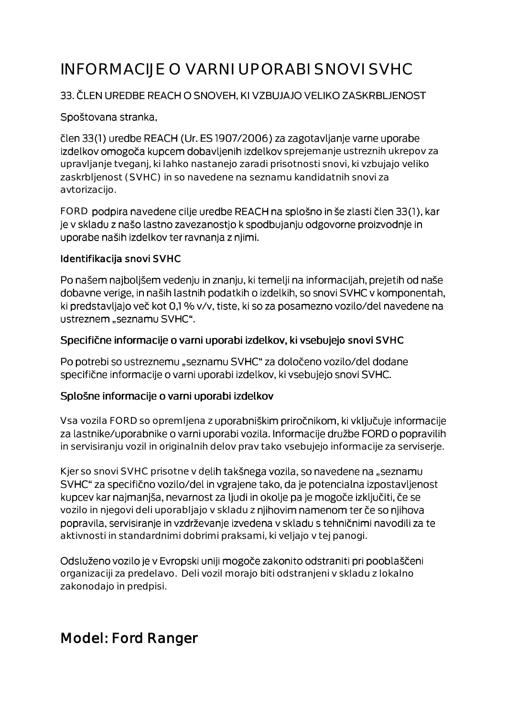# INFORMACIJE O VARNI UPORABI SNOVI SVHC

#### 33. ČLEN UREDBE REACH O SNOVEH, KI VZBUJAJO VELIKO ZASKRBLJENOST

#### Spoštovana stranka,

člen 33(1) uredbe REACH (Ur. ES 1907/2006) za zagotavljanje varne uporabe izdelkov omogoča kupcem dobavljenih izdelkov sprejemanje ustreznih ukrepov za upravljanje tveganj, ki lahko nastanejo zaradi prisotnosti snovi, ki vzbujajo veliko zaskrbljenost (SVHC) in so navedene na seznamu kandidatnih snovi za avtorizacijo.

FORD podpira navedene cilje uredbe REACH na splošno in še zlasti člen 33(1), kar je v skladu z našo lastno zavezanostjo k spodbujanju odgovorne proizvodnje in uporabe naših izdelkov ter ravnanja z njimi.

#### Identifikacija snovi SVHC

Po našem najboljšem vedenju in znanju, ki temelji na informacijah, prejetih od naše dobavne verige, in naših lastnih podatkih o izdelkih, so snovi SVHC v komponentah, ki predstavljajo več kot 0,1 % v/v, tiste, ki so za posamezno vozilo/del navedene na ustreznem "seznamu SVHC".

#### Specifične informacije o varni uporabi izdelkov, ki vsebujejo snovi SVHC

Po potrebi so ustreznemu "seznamu SVHC" za določeno vozilo/del dodane specifične informacije o varni uporabi izdelkov, ki vsebujejo snovi SVHC.

#### Splošne informacije o varni uporabi izdelkov

Vsa vozila FORD so opremljena z uporabniškim priročnikom, ki vključuje informacije za lastnike/uporabnike o varni uporabi vozila. Informacije družbe FORD o popravilih in servisiranju vozil in originalnih delov prav tako vsebujejo informacije za serviserje.

Kjer so snovi SVHC prisotne v delih takšnega vozila, so navedene na "seznamu SVHC" za specifično vozilo/del in vgrajene tako, da je potencialna izpostavljenost kupcev kar najmanjša, nevarnost za ljudi in okolje pa je mogoče izključiti, če se vozilo in njegovi deli uporabljajo v skladu z njihovim namenom ter če so njihova popravila, servisiranje in vzdrževanje izvedena v skladu s tehničnimi navodili za te aktivnosti in standardnimi dobrimi praksami, ki veljajo v tej panogi.

Odsluženo vozilo je v Evropski uniji mogoče zakonito odstraniti pri pooblaščeni organizaciji za predelavo. Deli vozil morajo biti odstranjeni v skladu z lokalno zakonodajo in predpisi.

## Model: Ford Ranger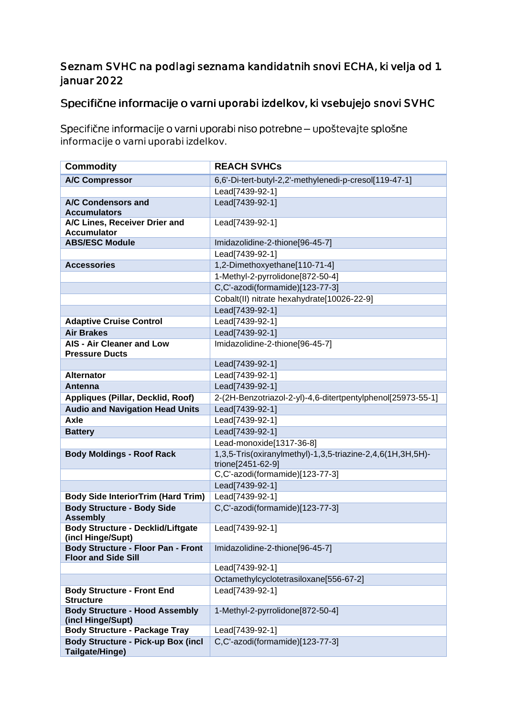#### Seznam SVHC na podlagi seznama kandidatnih snovi ECHA, ki velja od 1. januar 2022

### Specifične informacije o varni uporabi izdelkov, ki vsebujejo snovi SVHC

Specifične informacije o varni uporabi niso potrebne - upoštevajte splošne informacije o varni uporabi izdelkov.

| <b>Commodity</b>                                              | <b>REACH SVHCs</b>                                                              |
|---------------------------------------------------------------|---------------------------------------------------------------------------------|
| <b>A/C Compressor</b>                                         | 6,6'-Di-tert-butyl-2,2'-methylenedi-p-cresol[119-47-1]                          |
|                                                               | Lead[7439-92-1]                                                                 |
| A/C Condensors and                                            | Lead[7439-92-1]                                                                 |
| <b>Accumulators</b>                                           |                                                                                 |
| A/C Lines, Receiver Drier and                                 | Lead[7439-92-1]                                                                 |
| <b>Accumulator</b>                                            |                                                                                 |
| <b>ABS/ESC Module</b>                                         | Imidazolidine-2-thione[96-45-7]                                                 |
|                                                               | Lead[7439-92-1]                                                                 |
| <b>Accessories</b>                                            | 1,2-Dimethoxyethane[110-71-4]                                                   |
|                                                               | 1-Methyl-2-pyrrolidone[872-50-4]                                                |
|                                                               | C,C'-azodi(formamide)[123-77-3]                                                 |
|                                                               | Cobalt(II) nitrate hexahydrate[10026-22-9]                                      |
|                                                               | Lead[7439-92-1]                                                                 |
| <b>Adaptive Cruise Control</b>                                | Lead[7439-92-1]                                                                 |
| <b>Air Brakes</b>                                             | Lead[7439-92-1]                                                                 |
| <b>AIS - Air Cleaner and Low</b><br><b>Pressure Ducts</b>     | Imidazolidine-2-thione[96-45-7]                                                 |
|                                                               | Lead[7439-92-1]                                                                 |
| <b>Alternator</b>                                             | Lead[7439-92-1]                                                                 |
| Antenna                                                       | Lead[7439-92-1]                                                                 |
| Appliques (Pillar, Decklid, Roof)                             | 2-(2H-Benzotriazol-2-yl)-4,6-ditertpentylphenol[25973-55-1]                     |
| <b>Audio and Navigation Head Units</b>                        | Lead[7439-92-1]                                                                 |
| <b>Axle</b>                                                   | Lead[7439-92-1]                                                                 |
| <b>Battery</b>                                                | Lead[7439-92-1]                                                                 |
|                                                               | Lead-monoxide[1317-36-8]                                                        |
| <b>Body Moldings - Roof Rack</b>                              | 1,3,5-Tris(oxiranylmethyl)-1,3,5-triazine-2,4,6(1H,3H,5H)-<br>trione[2451-62-9] |
|                                                               | C,C'-azodi(formamide)[123-77-3]                                                 |
|                                                               | Lead[7439-92-1]                                                                 |
| <b>Body Side InteriorTrim (Hard Trim)</b>                     | Lead[7439-92-1]                                                                 |
| <b>Body Structure - Body Side</b><br><b>Assembly</b>          | C,C'-azodi(formamide)[123-77-3]                                                 |
| <b>Body Structure - Decklid/Liftgate</b><br>(incl Hinge/Supt) | Lead[7439-92-1]                                                                 |
| <b>Body Structure - Floor Pan - Front</b>                     | Imidazolidine-2-thione[96-45-7]                                                 |
| <b>Floor and Side Sill</b>                                    |                                                                                 |
|                                                               | Lead[7439-92-1]                                                                 |
|                                                               | Octamethylcyclotetrasiloxane[556-67-2]                                          |
| <b>Body Structure - Front End</b>                             | Lead[7439-92-1]                                                                 |
| <b>Structure</b>                                              |                                                                                 |
| <b>Body Structure - Hood Assembly</b>                         | 1-Methyl-2-pyrrolidone[872-50-4]                                                |
| (incl Hinge/Supt)                                             |                                                                                 |
| <b>Body Structure - Package Tray</b>                          | Lead[7439-92-1]                                                                 |
| <b>Body Structure - Pick-up Box (incl</b><br>Tailgate/Hinge)  | C,C'-azodi(formamide)[123-77-3]                                                 |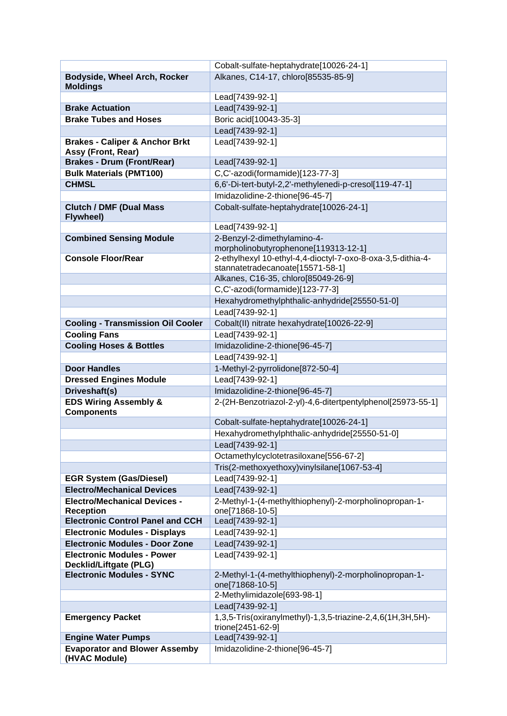|                                                             | Cobalt-sulfate-heptahydrate[10026-24-1]                                  |
|-------------------------------------------------------------|--------------------------------------------------------------------------|
| Bodyside, Wheel Arch, Rocker                                | Alkanes, C14-17, chloro[85535-85-9]                                      |
| <b>Moldings</b>                                             |                                                                          |
|                                                             | Lead[7439-92-1]                                                          |
| <b>Brake Actuation</b>                                      | Lead[7439-92-1]                                                          |
| <b>Brake Tubes and Hoses</b>                                | Boric acid[10043-35-3]                                                   |
|                                                             | Lead[7439-92-1]                                                          |
| <b>Brakes - Caliper &amp; Anchor Brkt</b>                   | Lead[7439-92-1]                                                          |
| Assy (Front, Rear)<br><b>Brakes - Drum (Front/Rear)</b>     | Lead[7439-92-1]                                                          |
| <b>Bulk Materials (PMT100)</b>                              | C,C'-azodi(formamide)[123-77-3]                                          |
| <b>CHMSL</b>                                                | 6,6'-Di-tert-butyl-2,2'-methylenedi-p-cresol[119-47-1]                   |
|                                                             | Imidazolidine-2-thione[96-45-7]                                          |
| <b>Clutch / DMF (Dual Mass</b>                              | Cobalt-sulfate-heptahydrate[10026-24-1]                                  |
| <b>Flywheel)</b>                                            |                                                                          |
|                                                             | Lead[7439-92-1]                                                          |
| <b>Combined Sensing Module</b>                              | 2-Benzyl-2-dimethylamino-4-                                              |
|                                                             | morpholinobutyrophenone[119313-12-1]                                     |
| <b>Console Floor/Rear</b>                                   | 2-ethylhexyl 10-ethyl-4,4-dioctyl-7-oxo-8-oxa-3,5-dithia-4-              |
|                                                             | stannatetradecanoate[15571-58-1]                                         |
|                                                             | Alkanes, C16-35, chloro[85049-26-9]                                      |
|                                                             | C,C'-azodi(formamide)[123-77-3]                                          |
|                                                             | Hexahydromethylphthalic-anhydride[25550-51-0]                            |
|                                                             | Lead[7439-92-1]                                                          |
| <b>Cooling - Transmission Oil Cooler</b>                    | Cobalt(II) nitrate hexahydrate[10026-22-9]                               |
| <b>Cooling Fans</b>                                         | Lead[7439-92-1]                                                          |
| <b>Cooling Hoses &amp; Bottles</b>                          | Imidazolidine-2-thione[96-45-7]                                          |
|                                                             | Lead[7439-92-1]                                                          |
| <b>Door Handles</b>                                         | 1-Methyl-2-pyrrolidone[872-50-4]                                         |
| <b>Dressed Engines Module</b>                               | Lead[7439-92-1]                                                          |
| Driveshaft(s)                                               | Imidazolidine-2-thione[96-45-7]                                          |
| <b>EDS Wiring Assembly &amp;</b><br><b>Components</b>       | 2-(2H-Benzotriazol-2-yl)-4,6-ditertpentylphenol[25973-55-1]              |
|                                                             | Cobalt-sulfate-heptahydrate[10026-24-1]                                  |
|                                                             | Hexahydromethylphthalic-anhydride[25550-51-0]                            |
|                                                             | Lead[7439-92-1]                                                          |
|                                                             | Octamethylcyclotetrasiloxane[556-67-2]                                   |
|                                                             | Tris(2-methoxyethoxy)vinylsilane[1067-53-4]                              |
| <b>EGR System (Gas/Diesel)</b>                              | Lead[7439-92-1]                                                          |
| <b>Electro/Mechanical Devices</b>                           | Lead[7439-92-1]                                                          |
| <b>Electro/Mechanical Devices -</b>                         | 2-Methyl-1-(4-methylthiophenyl)-2-morpholinopropan-1-                    |
| <b>Reception</b><br><b>Electronic Control Panel and CCH</b> | one[71868-10-5]                                                          |
| <b>Electronic Modules - Displays</b>                        | Lead[7439-92-1]<br>Lead[7439-92-1]                                       |
| <b>Electronic Modules - Door Zone</b>                       | Lead[7439-92-1]                                                          |
| <b>Electronic Modules - Power</b>                           | Lead[7439-92-1]                                                          |
| Decklid/Liftgate (PLG)                                      |                                                                          |
| <b>Electronic Modules - SYNC</b>                            | 2-Methyl-1-(4-methylthiophenyl)-2-morpholinopropan-1-<br>one[71868-10-5] |
|                                                             | 2-Methylimidazole[693-98-1]                                              |
|                                                             | Lead[7439-92-1]                                                          |
| <b>Emergency Packet</b>                                     | 1,3,5-Tris(oxiranylmethyl)-1,3,5-triazine-2,4,6(1H,3H,5H)-               |
|                                                             | trione[2451-62-9]                                                        |
| <b>Engine Water Pumps</b>                                   | Lead[7439-92-1]                                                          |
| <b>Evaporator and Blower Assemby</b>                        | Imidazolidine-2-thione[96-45-7]                                          |
| (HVAC Module)                                               |                                                                          |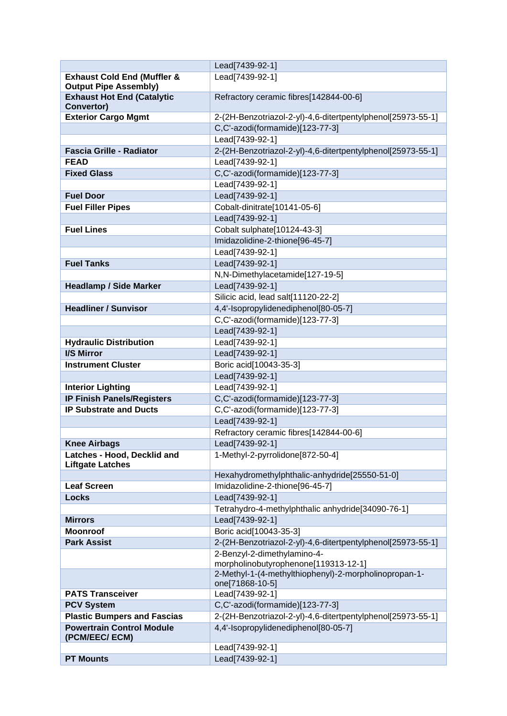|                                                        | Lead[7439-92-1]                                                                                |
|--------------------------------------------------------|------------------------------------------------------------------------------------------------|
| <b>Exhaust Cold End (Muffler &amp;</b>                 | Lead[7439-92-1]                                                                                |
| <b>Output Pipe Assembly)</b>                           |                                                                                                |
| <b>Exhaust Hot End (Catalytic</b>                      | Refractory ceramic fibres[142844-00-6]                                                         |
| Convertor)                                             |                                                                                                |
| <b>Exterior Cargo Mgmt</b>                             | 2-(2H-Benzotriazol-2-yl)-4,6-ditertpentylphenol[25973-55-1]<br>C.C'-azodi(formamide)[123-77-3] |
|                                                        |                                                                                                |
| <b>Fascia Grille - Radiator</b>                        | Lead[7439-92-1]                                                                                |
|                                                        | 2-(2H-Benzotriazol-2-yl)-4,6-ditertpentylphenol[25973-55-1]                                    |
| <b>FEAD</b>                                            | Lead[7439-92-1]                                                                                |
| <b>Fixed Glass</b>                                     | C,C'-azodi(formamide)[123-77-3]                                                                |
|                                                        | Lead[7439-92-1]                                                                                |
| <b>Fuel Door</b>                                       | Lead[7439-92-1]                                                                                |
| <b>Fuel Filler Pipes</b>                               | Cobalt-dinitrate[10141-05-6]                                                                   |
|                                                        | Lead[7439-92-1]                                                                                |
| <b>Fuel Lines</b>                                      | Cobalt sulphate[10124-43-3]                                                                    |
|                                                        | Imidazolidine-2-thione[96-45-7]                                                                |
|                                                        | Lead[7439-92-1]                                                                                |
| <b>Fuel Tanks</b>                                      | Lead[7439-92-1]                                                                                |
|                                                        | N,N-Dimethylacetamide[127-19-5]                                                                |
| <b>Headlamp / Side Marker</b>                          | Lead[7439-92-1]                                                                                |
|                                                        | Silicic acid, lead salt[11120-22-2]                                                            |
| <b>Headliner / Sunvisor</b>                            | 4,4'-Isopropylidenediphenol[80-05-7]                                                           |
|                                                        | C,C'-azodi(formamide)[123-77-3]                                                                |
|                                                        | Lead[7439-92-1]                                                                                |
| <b>Hydraulic Distribution</b>                          | Lead[7439-92-1]                                                                                |
| I/S Mirror                                             | Lead[7439-92-1]                                                                                |
| <b>Instrument Cluster</b>                              | Boric acid[10043-35-3]                                                                         |
|                                                        | Lead[7439-92-1]                                                                                |
| <b>Interior Lighting</b>                               | Lead[7439-92-1]                                                                                |
| <b>IP Finish Panels/Registers</b>                      | C,C'-azodi(formamide)[123-77-3]                                                                |
| <b>IP Substrate and Ducts</b>                          | C,C'-azodi(formamide)[123-77-3]                                                                |
|                                                        | Lead[7439-92-1]                                                                                |
|                                                        | Refractory ceramic fibres[142844-00-6]                                                         |
| <b>Knee Airbags</b>                                    | Lead[7439-92-1]                                                                                |
| Latches - Hood, Decklid and<br><b>Liftgate Latches</b> | 1-Methyl-2-pyrrolidone[872-50-4]                                                               |
|                                                        | Hexahydromethylphthalic-anhydride[25550-51-0]                                                  |
| <b>Leaf Screen</b>                                     | Imidazolidine-2-thione[96-45-7]                                                                |
| <b>Locks</b>                                           | Lead[7439-92-1]                                                                                |
|                                                        | Tetrahydro-4-methylphthalic anhydride[34090-76-1]                                              |
| <b>Mirrors</b>                                         | Lead[7439-92-1]                                                                                |
| <b>Moonroof</b>                                        | Boric acid[10043-35-3]                                                                         |
| <b>Park Assist</b>                                     | 2-(2H-Benzotriazol-2-yl)-4,6-ditertpentylphenol[25973-55-1]                                    |
|                                                        | 2-Benzyl-2-dimethylamino-4-                                                                    |
|                                                        | morpholinobutyrophenone[119313-12-1]                                                           |
|                                                        | 2-Methyl-1-(4-methylthiophenyl)-2-morpholinopropan-1-<br>one[71868-10-5]                       |
| <b>PATS Transceiver</b>                                | Lead[7439-92-1]                                                                                |
| <b>PCV System</b>                                      | C,C'-azodi(formamide)[123-77-3]                                                                |
| <b>Plastic Bumpers and Fascias</b>                     | 2-(2H-Benzotriazol-2-yl)-4,6-ditertpentylphenol[25973-55-1]                                    |
| <b>Powertrain Control Module</b><br>(PCM/EEC/ ECM)     | 4,4'-Isopropylidenediphenol[80-05-7]                                                           |
|                                                        | Lead[7439-92-1]                                                                                |
| <b>PT Mounts</b>                                       | Lead[7439-92-1]                                                                                |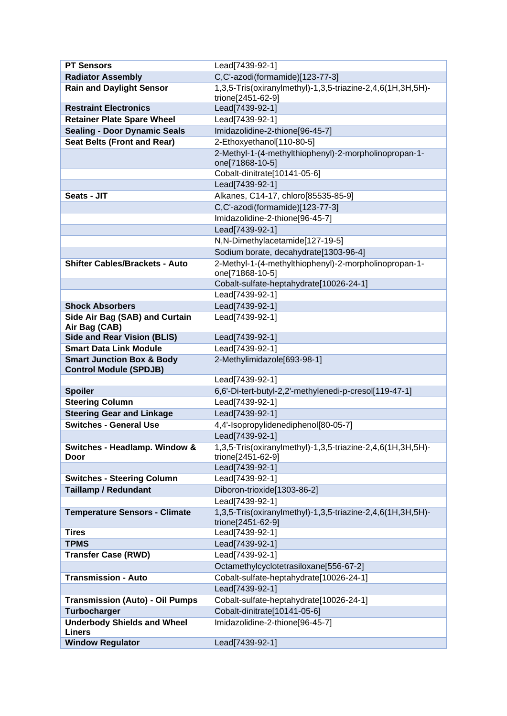| <b>PT Sensors</b>                        | Lead[7439-92-1]                                            |
|------------------------------------------|------------------------------------------------------------|
| <b>Radiator Assembly</b>                 | C,C'-azodi(formamide)[123-77-3]                            |
| <b>Rain and Daylight Sensor</b>          | 1,3,5-Tris(oxiranylmethyl)-1,3,5-triazine-2,4,6(1H,3H,5H)- |
|                                          | trione[2451-62-9]                                          |
| <b>Restraint Electronics</b>             | Lead[7439-92-1]                                            |
| <b>Retainer Plate Spare Wheel</b>        | Lead[7439-92-1]                                            |
| <b>Sealing - Door Dynamic Seals</b>      | Imidazolidine-2-thione[96-45-7]                            |
| <b>Seat Belts (Front and Rear)</b>       | 2-Ethoxyethanol[110-80-5]                                  |
|                                          | 2-Methyl-1-(4-methylthiophenyl)-2-morpholinopropan-1-      |
|                                          | one[71868-10-5]                                            |
|                                          | Cobalt-dinitrate[10141-05-6]                               |
|                                          | Lead[7439-92-1]                                            |
| Seats - JIT                              | Alkanes, C14-17, chloro[85535-85-9]                        |
|                                          | C,C'-azodi(formamide)[123-77-3]                            |
|                                          | Imidazolidine-2-thione[96-45-7]                            |
|                                          | Lead[7439-92-1]                                            |
|                                          | N,N-Dimethylacetamide[127-19-5]                            |
|                                          | Sodium borate, decahydrate[1303-96-4]                      |
| <b>Shifter Cables/Brackets - Auto</b>    | 2-Methyl-1-(4-methylthiophenyl)-2-morpholinopropan-1-      |
|                                          | one[71868-10-5]                                            |
|                                          | Cobalt-sulfate-heptahydrate[10026-24-1]                    |
|                                          | Lead[7439-92-1]                                            |
| <b>Shock Absorbers</b>                   | Lead[7439-92-1]                                            |
| Side Air Bag (SAB) and Curtain           | Lead[7439-92-1]                                            |
| Air Bag (CAB)                            |                                                            |
| <b>Side and Rear Vision (BLIS)</b>       | Lead[7439-92-1]                                            |
| <b>Smart Data Link Module</b>            | Lead[7439-92-1]                                            |
|                                          |                                                            |
| <b>Smart Junction Box &amp; Body</b>     | 2-Methylimidazole[693-98-1]                                |
| <b>Control Module (SPDJB)</b>            |                                                            |
|                                          | Lead[7439-92-1]                                            |
| <b>Spoiler</b>                           | 6,6'-Di-tert-butyl-2,2'-methylenedi-p-cresol[119-47-1]     |
| <b>Steering Column</b>                   | Lead[7439-92-1]                                            |
| <b>Steering Gear and Linkage</b>         | Lead[7439-92-1]                                            |
| <b>Switches - General Use</b>            | 4,4'-Isopropylidenediphenol[80-05-7]                       |
|                                          | Lead[7439-92-1]                                            |
| Switches - Headlamp. Window &            | 1,3,5-Tris(oxiranylmethyl)-1,3,5-triazine-2,4,6(1H,3H,5H)- |
| Door                                     | trione[2451-62-9]                                          |
|                                          | Lead[7439-92-1]                                            |
| <b>Switches - Steering Column</b>        | Lead[7439-92-1]                                            |
| <b>Taillamp / Redundant</b>              | Diboron-trioxide[1303-86-2]                                |
|                                          | Lead[7439-92-1]                                            |
| <b>Temperature Sensors - Climate</b>     | 1,3,5-Tris(oxiranylmethyl)-1,3,5-triazine-2,4,6(1H,3H,5H)- |
|                                          | trione[2451-62-9]                                          |
| <b>Tires</b>                             | Lead[7439-92-1]                                            |
| <b>TPMS</b>                              | Lead[7439-92-1]                                            |
| <b>Transfer Case (RWD)</b>               | Lead[7439-92-1]                                            |
|                                          | Octamethylcyclotetrasiloxane[556-67-2]                     |
| <b>Transmission - Auto</b>               | Cobalt-sulfate-heptahydrate[10026-24-1]                    |
|                                          | Lead[7439-92-1]                                            |
| <b>Transmission (Auto) - Oil Pumps</b>   | Cobalt-sulfate-heptahydrate[10026-24-1]                    |
| <b>Turbocharger</b>                      | Cobalt-dinitrate[10141-05-6]                               |
| <b>Underbody Shields and Wheel</b>       | Imidazolidine-2-thione[96-45-7]                            |
| <b>Liners</b><br><b>Window Regulator</b> | Lead[7439-92-1]                                            |